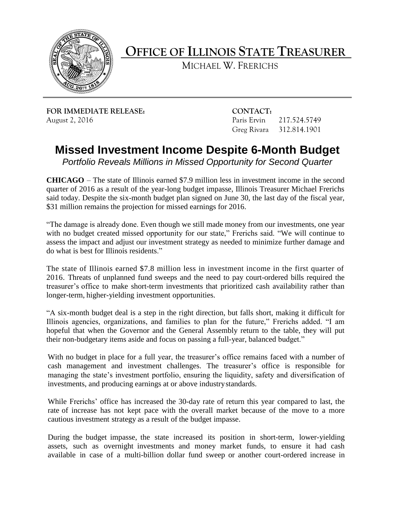

**OFFICE OF ILLINOIS STATE TREASURER**

MICHAEL W. FRERICHS

**FOR IMMEDIATE RELEASE: CONTACT:** August 2, 2016 **Paris Ervin 217.524.5749** 

Greg Rivara 312.814.1901

## **Missed Investment Income Despite 6-Month Budget**

*Portfolio Reveals Millions in Missed Opportunity for Second Quarter*

**CHICAGO** – The state of Illinois earned \$7.9 million less in investment income in the second quarter of 2016 as a result of the year-long budget impasse, Illinois Treasurer Michael Frerichs said today. Despite the six-month budget plan signed on June 30, the last day of the fiscal year, \$31 million remains the projection for missed earnings for 2016.

"The damage is already done. Even though we still made money from our investments, one year with no budget created missed opportunity for our state," Frerichs said. "We will continue to assess the impact and adjust our investment strategy as needed to minimize further damage and do what is best for Illinois residents."

The state of Illinois earned \$7.8 million less in investment income in the first quarter of 2016. Threats of unplanned fund sweeps and the need to pay court-ordered bills required the treasurer's office to make short-term investments that prioritized cash availability rather than longer-term, higher-yielding investment opportunities.

"A six-month budget deal is a step in the right direction, but falls short, making it difficult for Illinois agencies, organizations, and families to plan for the future," Frerichs added. "I am hopeful that when the Governor and the General Assembly return to the table, they will put their non-budgetary items aside and focus on passing a full-year, balanced budget."

With no budget in place for a full year, the treasurer's office remains faced with a number of cash management and investment challenges. The treasurer's office is responsible for managing the state's investment portfolio, ensuring the liquidity, safety and diversification of investments, and producing earnings at or above industrystandards.

While Frerichs' office has increased the 30-day rate of return this year compared to last, the rate of increase has not kept pace with the overall market because of the move to a more cautious investment strategy as a result of the budget impasse.

During the budget impasse, the state increased its position in short-term, lower-yielding assets, such as overnight investments and money market funds, to ensure it had cash available in case of a multi-billion dollar fund sweep or another court-ordered increase in